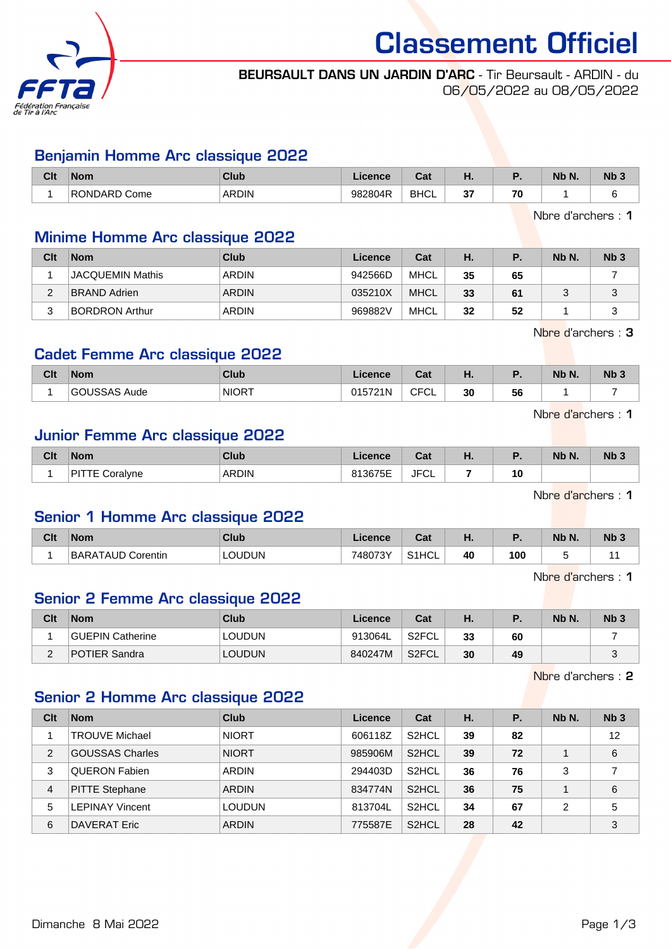

# Classement Officiel

#### BEURSAULT DANS UN JARDIN D'ARC - Tir Beursault - ARDIN - du 06/05/2022 au 08/05/2022

## Benjamin Homme Arc classique 2022

| Clt | <b>Nom</b>             | <b>Club</b>  | ncence. | $R_{\rm{min}}$<br>ual |                        |                                           | <b>Nb</b> | Nb 3 |
|-----|------------------------|--------------|---------|-----------------------|------------------------|-------------------------------------------|-----------|------|
|     | RC<br>ONDARP .<br>Come | <b>ARDIN</b> | 982804R | <b>BHCL</b><br>______ | $\sim$<br>J.<br>$\sim$ | $\overline{\phantom{a}}$<br>, u<br>$\sim$ |           |      |

Nbre d'archers : 1

# Minime Homme Arc classique 2022

| Clt | <b>Nom</b>              | Club  | Licence | Cat         | Н. |    | Nb N. | Nb <sub>3</sub> |
|-----|-------------------------|-------|---------|-------------|----|----|-------|-----------------|
|     | <b>JACQUEMIN Mathis</b> | ARDIN | 942566D | MHCL        | 35 | 65 |       |                 |
| ົ   | <b>BRAND Adrien</b>     | ARDIN | 035210X | <b>MHCL</b> | 33 | 61 |       | ت               |
| ົ   | <b>BORDRON Arthur</b>   | ARDIN | 969882V | MHCL        | 32 | 52 |       |                 |

Nbre d'archers : 3

## Cadet Femme Arc classique 2022

| <b>Clt</b> | <b>Nom</b>    | <b>Club</b><br>uuu | Licence | <b>Tat</b><br>ual  | .  |    | Nb N. | Nb <sub>3</sub> |
|------------|---------------|--------------------|---------|--------------------|----|----|-------|-----------------|
|            | ISSA:<br>Aude | ∂NIORT             | າ15721N | $\cap$<br>◡┌<br>◡∟ | 30 | 56 |       | ٠               |

Nbre d'archers : 1

# Junior Femme Arc classique 2022

| Clt | <b>Nom</b>      | Club         | .icence | $\sim$<br>ual         | -<br> | .  | Nb N. | Nb <sub>3</sub> |
|-----|-----------------|--------------|---------|-----------------------|-------|----|-------|-----------------|
|     | DI.<br>็วralyne | <b>ARDIN</b> | 100755  | <b>JFCL</b><br>$\sim$ |       | 10 |       |                 |

Nbre d'archers : 1

# Senior 1 Homme Arc classique 2022

| Clt | <b>Nom</b>               | Club          | Licence | $T - 1$<br>⊌م |    | . . | Nb N. | Nb <sub>3</sub> |
|-----|--------------------------|---------------|---------|---------------|----|-----|-------|-----------------|
|     | <b>BARATAUD Corentin</b> | <b>LOUDUN</b> | 748073Y | S1HCL         | 40 | 100 |       |                 |

Nbre d'archers : 1

## Senior 2 Femme Arc classique 2022

| Clt         | <b>Nom</b>           | Club          | ∟icence | Cat   | Н. |    | Nb N. | Nb <sub>3</sub> |
|-------------|----------------------|---------------|---------|-------|----|----|-------|-----------------|
|             | GUEPIN Catherine     | LOUDUN        | 913064L | S2FCL | 33 | 60 |       |                 |
| $\sim$<br>- | <b>POTIER Sandra</b> | <b>LOUDUN</b> | 840247M | S2FCL | 30 | 49 |       | w               |

Nbre d'archers : 2

# Senior 2 Homme Arc classique 2022

| Clt            | <b>Nom</b>             | Club          | Licence | Cat                | Н. | Ρ. | Nb N. | Nb <sub>3</sub> |
|----------------|------------------------|---------------|---------|--------------------|----|----|-------|-----------------|
|                | <b>TROUVE Michael</b>  | <b>NIORT</b>  | 606118Z | S <sub>2</sub> HCL | 39 | 82 |       | 12              |
| 2              | <b>GOUSSAS Charles</b> | <b>NIORT</b>  | 985906M | S <sub>2</sub> HCL | 39 | 72 |       | 6               |
| 3              | <b>QUERON Fabien</b>   | <b>ARDIN</b>  | 294403D | S <sub>2</sub> HCL | 36 | 76 | 3     |                 |
| $\overline{4}$ | <b>PITTE Stephane</b>  | <b>ARDIN</b>  | 834774N | S <sub>2</sub> HCL | 36 | 75 |       | 6               |
| 5              | LEPINAY Vincent        | <b>LOUDUN</b> | 813704L | S <sub>2</sub> HCL | 34 | 67 | 2     | 5               |
| 6              | DAVERAT Eric           | <b>ARDIN</b>  | 775587E | S <sub>2</sub> HCL | 28 | 42 |       | 3               |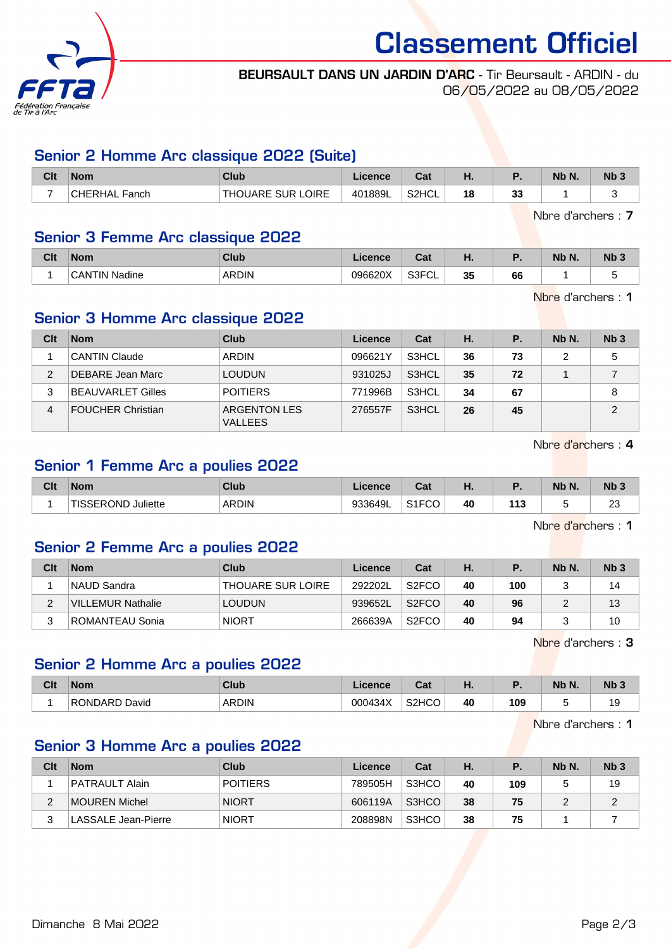

Classement Officiel

#### BEURSAULT DANS UN JARDIN D'ARC - Tir Beursault - ARDIN - du 06/05/2022 au 08/05/2022

# Senior 2 Homme Arc classique 2022 (Suite)

| Clt                      | <b>Nom</b>       | Club               | Licence | $\sim$<br>ual | п. |           | Nb N. | Nb <sub>3</sub> |
|--------------------------|------------------|--------------------|---------|---------------|----|-----------|-------|-----------------|
| $\overline{\phantom{a}}$ | CHERHAL<br>Fanch | 'THOUARE SUR LOIRE | 401889L | S2HCL         | 18 | ne.<br>აა |       |                 |

Nbre d'archers : 7

## Senior 3 Femme Arc classique 2022

| Clt | <b>Nom</b>                    | Club         | ורפוורפ | ו ה<br>val           | п.       |    | <b>NIL</b><br>Nb N. | N <sub>b</sub> <sub>3</sub> |
|-----|-------------------------------|--------------|---------|----------------------|----------|----|---------------------|-----------------------------|
|     | $\hat{}$ CANTIN .<br>' Nadine | <b>ARDIN</b> | 096620X | 0.0001<br>ుర్'<br>◡∟ | 25<br>◡◡ | 66 |                     | -                           |

Nbre d'archers : 1

# Senior 3 Homme Arc classique 2022

| Clt | <b>Nom</b>               | Club                                  | Licence | Cat   | Н. | P. | Nb N. | Nb <sub>3</sub> |
|-----|--------------------------|---------------------------------------|---------|-------|----|----|-------|-----------------|
|     | <b>CANTIN Claude</b>     | ARDIN                                 | 096621Y | S3HCL | 36 | 73 | 2     | 5               |
| 2   | DEBARE Jean Marc         | <b>LOUDUN</b>                         | 931025J | S3HCL | 35 | 72 |       |                 |
|     | <b>BEAUVARLET Gilles</b> | <b>POITIERS</b>                       | 771996B | S3HCL | 34 | 67 |       | 8               |
| 4   | <b>FOUCHER Christian</b> | <b>ARGENTON LES</b><br><b>VALLEES</b> | 276557F | S3HCL | 26 | 45 |       | 2               |

Nbre d'archers : 4

# Senior 1 Femme Arc a poulies 2022

| Clt | <b>Nom</b>                   | Club         | Licence | $T - 1$<br>val     | п. |         | NIL<br>Nb N. | N <sub>b</sub> 3   |
|-----|------------------------------|--------------|---------|--------------------|----|---------|--------------|--------------------|
|     | <b>TISSEROND</b><br>Juliette | <b>ARDIN</b> | 933649L | C1ECCO<br>ا ت<br>◡ | 40 | 142<br> | -<br>۰.      | $\sim$<br>∠∪<br>__ |

Nbre d'archers : 1

# Senior 2 Femme Arc a poulies 2022

| Clt | <b>Nom</b>        | Club                     | Licence | Cat                | Н. |     | Nb N. | Nb <sub>3</sub> |
|-----|-------------------|--------------------------|---------|--------------------|----|-----|-------|-----------------|
|     | INAUD Sandra      | <b>THOUARE SUR LOIRE</b> | 292202L | S <sub>2</sub> FCO | 40 | 100 |       | 14              |
| ົ   | VILLEMUR Nathalie | <b>LOUDUN</b>            | 939652L | S <sub>2</sub> FCO | 40 | 96  |       | 13              |
|     | ROMANTEAU Sonia   | <b>NIORT</b>             | 266639A | S <sub>2</sub> FCO | 40 | 94  |       | 10              |

Nbre d'archers : 3

# Senior 2 Homme Arc a poulies 2022

| Clt | <b>Nom</b>    | Club         | .icence | <b>Dol</b><br>ual               | ш. |     | Nb N. | Nb <sub>3</sub> |
|-----|---------------|--------------|---------|---------------------------------|----|-----|-------|-----------------|
|     | RONDARD David | <b>ARDIN</b> | 000434X | S <sub>2</sub> H <sub>C</sub> O | 40 | 109 | . .   | "<br>ت ،        |

Nbre d'archers : 1

# Senior 3 Homme Arc a poulies 2022

| Clt | <b>Nom</b>          | Club            | Licence | Cat   | Н. |     | Nb N. | Nb <sub>3</sub> |
|-----|---------------------|-----------------|---------|-------|----|-----|-------|-----------------|
|     | PATRAULT Alain      | <b>POITIERS</b> | 789505H | S3HCO | 40 | 109 |       | 19              |
|     | MOUREN Michel       | <b>NIORT</b>    | 606119A | S3HCO | 38 | 75  | ∼     | ∼               |
|     | LASSALE Jean-Pierre | <b>NIORT</b>    | 208898N | S3HCO | 38 | 75  |       |                 |